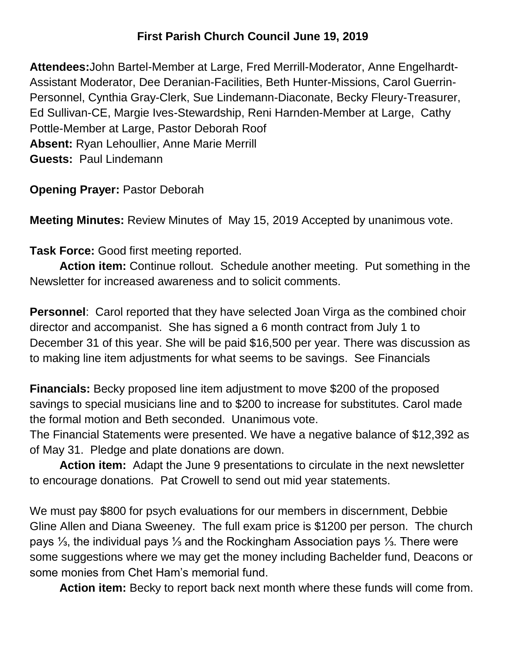## **First Parish Church Council June 19, 2019**

**Attendees:**John Bartel-Member at Large, Fred Merrill-Moderator, Anne Engelhardt-Assistant Moderator, Dee Deranian-Facilities, Beth Hunter-Missions, Carol Guerrin-Personnel, Cynthia Gray-Clerk, Sue Lindemann-Diaconate, Becky Fleury-Treasurer, Ed Sullivan-CE, Margie Ives-Stewardship, Reni Harnden-Member at Large, Cathy Pottle-Member at Large, Pastor Deborah Roof **Absent:** Ryan Lehoullier, Anne Marie Merrill **Guests:** Paul Lindemann

**Opening Prayer:** Pastor Deborah

**Meeting Minutes:** Review Minutes of May 15, 2019 Accepted by unanimous vote.

**Task Force:** Good first meeting reported.

**Action item:** Continue rollout. Schedule another meeting. Put something in the Newsletter for increased awareness and to solicit comments.

**Personnel**: Carol reported that they have selected Joan Virga as the combined choir director and accompanist. She has signed a 6 month contract from July 1 to December 31 of this year. She will be paid \$16,500 per year. There was discussion as to making line item adjustments for what seems to be savings. See Financials

**Financials:** Becky proposed line item adjustment to move \$200 of the proposed savings to special musicians line and to \$200 to increase for substitutes. Carol made the formal motion and Beth seconded. Unanimous vote.

The Financial Statements were presented. We have a negative balance of \$12,392 as of May 31. Pledge and plate donations are down.

**Action item:** Adapt the June 9 presentations to circulate in the next newsletter to encourage donations. Pat Crowell to send out mid year statements.

We must pay \$800 for psych evaluations for our members in discernment, Debbie Gline Allen and Diana Sweeney. The full exam price is \$1200 per person. The church pays ⅓, the individual pays ⅓ and the Rockingham Association pays ⅓. There were some suggestions where we may get the money including Bachelder fund, Deacons or some monies from Chet Ham's memorial fund.

**Action item:** Becky to report back next month where these funds will come from.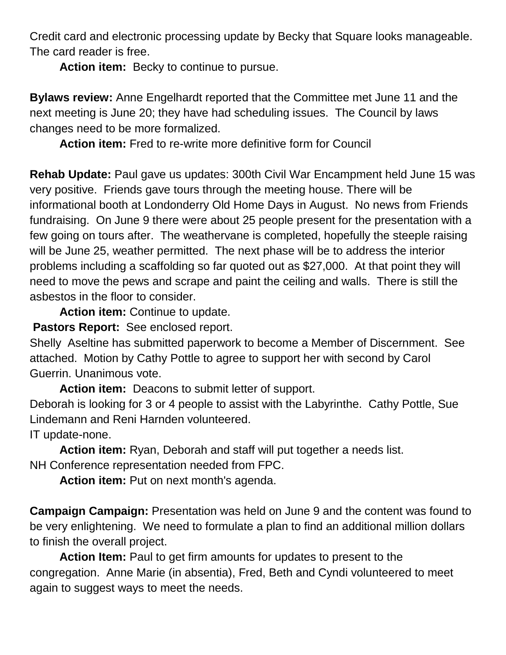Credit card and electronic processing update by Becky that Square looks manageable. The card reader is free.

Action item: Becky to continue to pursue.

**Bylaws review:** Anne Engelhardt reported that the Committee met June 11 and the next meeting is June 20; they have had scheduling issues. The Council by laws changes need to be more formalized.

**Action item:** Fred to re-write more definitive form for Council

**Rehab Update:** Paul gave us updates: 300th Civil War Encampment held June 15 was very positive. Friends gave tours through the meeting house. There will be informational booth at Londonderry Old Home Days in August. No news from Friends fundraising. On June 9 there were about 25 people present for the presentation with a few going on tours after. The weathervane is completed, hopefully the steeple raising will be June 25, weather permitted. The next phase will be to address the interior problems including a scaffolding so far quoted out as \$27,000. At that point they will need to move the pews and scrape and paint the ceiling and walls. There is still the asbestos in the floor to consider.

**Action item:** Continue to update.

**Pastors Report:** See enclosed report.

Shelly Aseltine has submitted paperwork to become a Member of Discernment. See attached. Motion by Cathy Pottle to agree to support her with second by Carol Guerrin. Unanimous vote.

**Action item:** Deacons to submit letter of support.

Deborah is looking for 3 or 4 people to assist with the Labyrinthe. Cathy Pottle, Sue Lindemann and Reni Harnden volunteered.

IT update-none.

**Action item:** Ryan, Deborah and staff will put together a needs list. NH Conference representation needed from FPC.

Action item: Put on next month's agenda.

**Campaign Campaign:** Presentation was held on June 9 and the content was found to be very enlightening. We need to formulate a plan to find an additional million dollars to finish the overall project.

**Action Item:** Paul to get firm amounts for updates to present to the congregation. Anne Marie (in absentia), Fred, Beth and Cyndi volunteered to meet again to suggest ways to meet the needs.